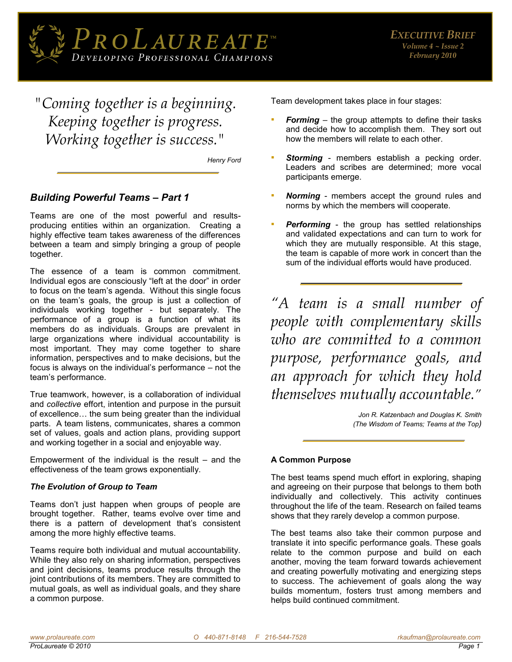

*"Coming together is a beginning. Keeping together is progress. Working together is success."*

*Henry Ford* 

# *Building Powerful Teams – Part 1*

Teams are one of the most powerful and resultsproducing entities within an organization. Creating a highly effective team takes awareness of the differences between a team and simply bringing a group of people together.

The essence of a team is common commitment. Individual egos are consciously "left at the door" in order to focus on the team's agenda. Without this single focus on the team's goals, the group is just a collection of individuals working together - but separately. The performance of a group is a function of what its members do as individuals. Groups are prevalent in large organizations where individual accountability is most important. They may come together to share information, perspectives and to make decisions, but the focus is always on the individual's performance – not the team's performance.

True teamwork, however, is a collaboration of individual and *collective* effort, intention and purpose in the pursuit of excellence… the sum being greater than the individual parts. A team listens, communicates, shares a common set of values, goals and action plans, providing support and working together in a social and enjoyable way.

Empowerment of the individual is the result  $-$  and the effectiveness of the team grows exponentially.

### *The Evolution of Group to Team*

Teams don't just happen when groups of people are brought together. Rather, teams evolve over time and there is a pattern of development that's consistent among the more highly effective teams.

Teams require both individual and mutual accountability. While they also rely on sharing information, perspectives and joint decisions, teams produce results through the joint contributions of its members. They are committed to mutual goals, as well as individual goals, and they share a common purpose.

Team development takes place in four stages:

- **Forming** the group attempts to define their tasks and decide how to accomplish them. They sort out how the members will relate to each other.
- **Storming** members establish a pecking order. Leaders and scribes are determined; more vocal participants emerge.
- **Norming** members accept the ground rules and norms by which the members will cooperate.
- **Performing** the group has settled relationships and validated expectations and can turn to work for which they are mutually responsible. At this stage, the team is capable of more work in concert than the sum of the individual efforts would have produced.

*"A team is a small number of people with complementary skills who are committed to a common purpose, performance goals, and an approach for which they hold themselves mutually accountable."*

> *Jon R. Katzenbach and Douglas K. Smith (The Wisdom of Teams; Teams at the Top)*

## **A Common Purpose**

The best teams spend much effort in exploring, shaping and agreeing on their purpose that belongs to them both individually and collectively. This activity continues throughout the life of the team. Research on failed teams shows that they rarely develop a common purpose.

The best teams also take their common purpose and translate it into specific performance goals. These goals relate to the common purpose and build on each another, moving the team forward towards achievement and creating powerfully motivating and energizing steps to success. The achievement of goals along the way builds momentum, fosters trust among members and helps build continued commitment.